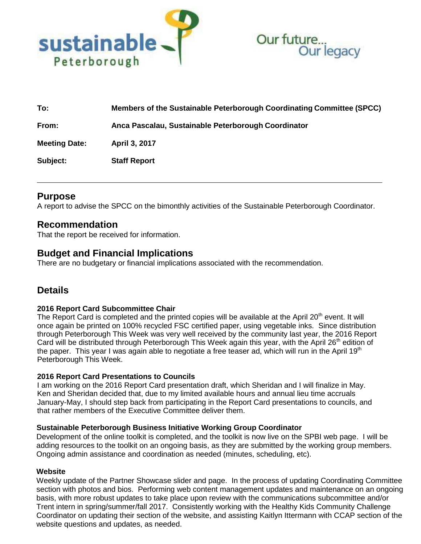



| To:                  | Members of the Sustainable Peterborough Coordinating Committee (SPCC) |
|----------------------|-----------------------------------------------------------------------|
| From:                | Anca Pascalau, Sustainable Peterborough Coordinator                   |
| <b>Meeting Date:</b> | April 3, 2017                                                         |
| Subject:             | <b>Staff Report</b>                                                   |

## **Purpose**

A report to advise the SPCC on the bimonthly activities of the Sustainable Peterborough Coordinator.

## **Recommendation**

That the report be received for information.

## **Budget and Financial Implications**

There are no budgetary or financial implications associated with the recommendation.

# **Details**

#### **2016 Report Card Subcommittee Chair**

The Report Card is completed and the printed copies will be available at the April 20<sup>th</sup> event. It will once again be printed on 100% recycled FSC certified paper, using vegetable inks. Since distribution through Peterborough This Week was very well received by the community last year, the 2016 Report Card will be distributed through Peterborough This Week again this year, with the April 26<sup>th</sup> edition of the paper. This year I was again able to negotiate a free teaser ad, which will run in the April 19<sup>th</sup> Peterborough This Week.

#### **2016 Report Card Presentations to Councils**

I am working on the 2016 Report Card presentation draft, which Sheridan and I will finalize in May. Ken and Sheridan decided that, due to my limited available hours and annual lieu time accruals January-May, I should step back from participating in the Report Card presentations to councils, and that rather members of the Executive Committee deliver them.

#### **Sustainable Peterborough Business Initiative Working Group Coordinator**

Development of the online toolkit is completed, and the toolkit is now live on the SPBI web page. I will be adding resources to the toolkit on an ongoing basis, as they are submitted by the working group members. Ongoing admin assistance and coordination as needed (minutes, scheduling, etc).

#### **Website**

Weekly update of the Partner Showcase slider and page. In the process of updating Coordinating Committee section with photos and bios. Performing web content management updates and maintenance on an ongoing basis, with more robust updates to take place upon review with the communications subcommittee and/or Trent intern in spring/summer/fall 2017. Consistently working with the Healthy Kids Community Challenge Coordinator on updating their section of the website, and assisting Kaitlyn Ittermann with CCAP section of the website questions and updates, as needed.